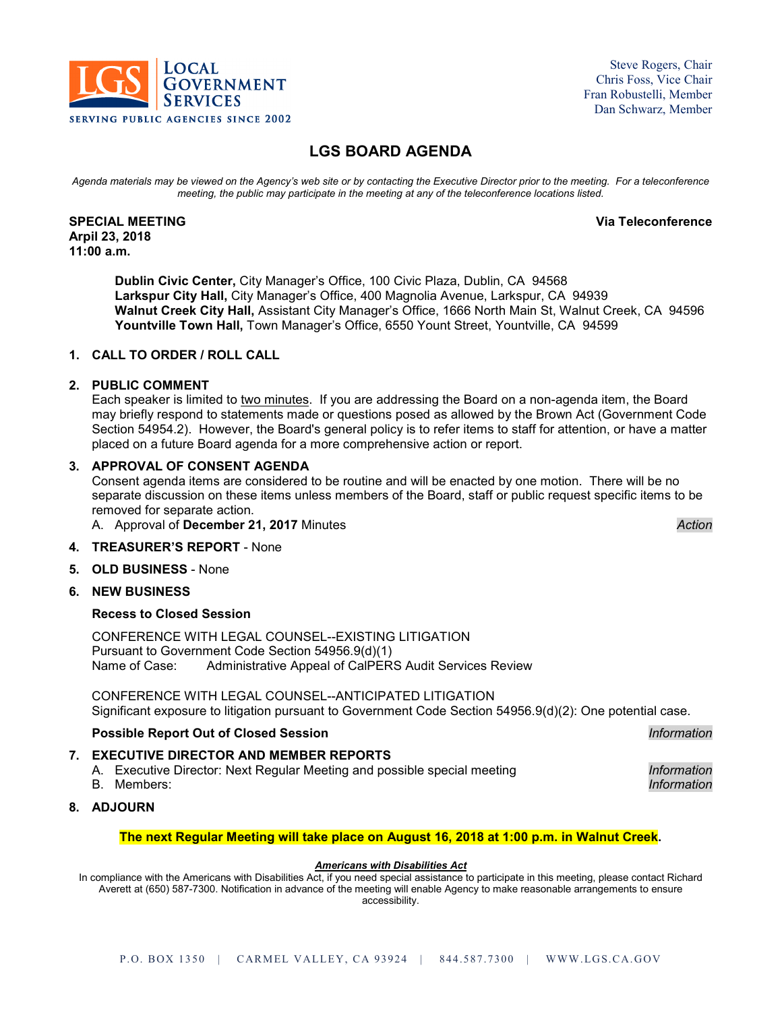

Steve Rogers, Chair Chris Foss, Vice Chair Fran Robustelli, Member Dan Schwarz, Member

# **LGS BOARD AGENDA**

*Agenda materials may be viewed on the Agency's web site or by contacting the Executive Director prior to the meeting. For a teleconference meeting, the public may participate in the meeting at any of the teleconference locations listed.*

#### **SPECIAL MEETING Via Teleconference Arpil 23, 2018 11:00 a.m.**

**Dublin Civic Center,** City Manager's Office, 100 Civic Plaza, Dublin, CA 94568 **Larkspur City Hall,** City Manager's Office, 400 Magnolia Avenue, Larkspur, CA 94939 **Walnut Creek City Hall,** Assistant City Manager's Office, 1666 North Main St, Walnut Creek, CA 94596 **Yountville Town Hall,** Town Manager's Office, 6550 Yount Street, Yountville, CA 94599

## **1. CALL TO ORDER / ROLL CALL**

### **2. PUBLIC COMMENT**

Each speaker is limited to two minutes. If you are addressing the Board on a non-agenda item, the Board may briefly respond to statements made or questions posed as allowed by the Brown Act (Government Code Section 54954.2). However, the Board's general policy is to refer items to staff for attention, or have a matter placed on a future Board agenda for a more comprehensive action or report.

### **3. APPROVAL OF CONSENT AGENDA**

Consent agenda items are considered to be routine and will be enacted by one motion. There will be no separate discussion on these items unless members of the Board, staff or public request specific items to be removed for separate action.

A. Approval of **December 21, 2017** Minutes *Action*

## **4. TREASURER'S REPORT** - None

**5. OLD BUSINESS** - None

### **6. NEW BUSINESS**

### **Recess to Closed Session**

CONFERENCE WITH LEGAL COUNSEL--EXISTING LITIGATION Pursuant to Government Code Section 54956.9(d)(1) Administrative Appeal of CalPERS Audit Services Review

CONFERENCE WITH LEGAL COUNSEL--ANTICIPATED LITIGATION Significant exposure to litigation pursuant to Government Code Section 54956.9(d)(2): One potential case.

### **Possible Report Out of Closed Session** *Information*

### **7. EXECUTIVE DIRECTOR AND MEMBER REPORTS**

A. Executive Director: Next Regular Meeting and possible special meeting *Information*

B. Members: *Information*

# **8. ADJOURN**

### **The next Regular Meeting will take place on August 16, 2018 at 1:00 p.m. in Walnut Creek.**

#### *Americans with Disabilities Act*

In compliance with the Americans with Disabilities Act, if you need special assistance to participate in this meeting, please contact Richard Averett at (650) 587-7300. Notification in advance of the meeting will enable Agency to make reasonable arrangements to ensure accessibility.